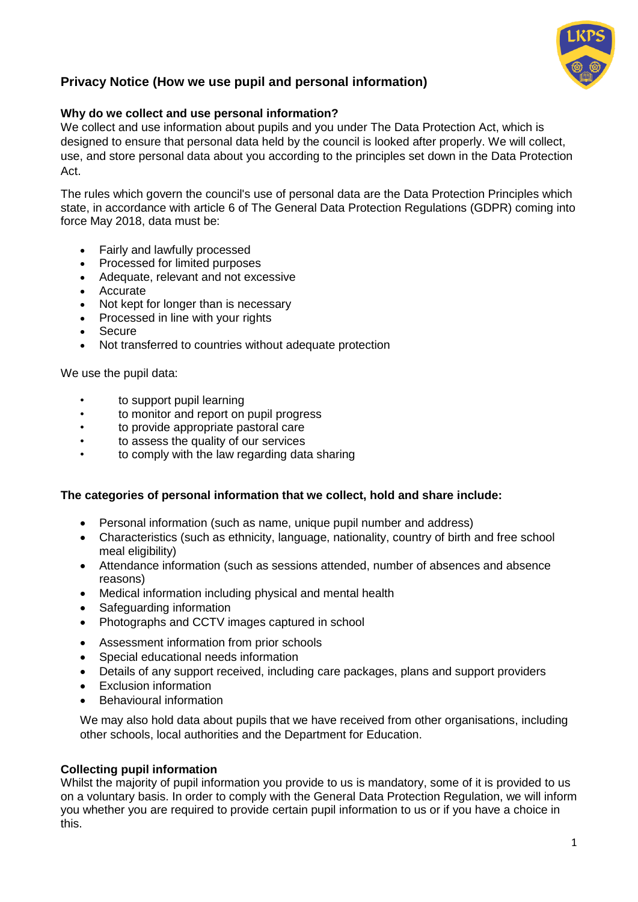

# **Privacy Notice (How we use pupil and personal information)**

### **Why do we collect and use personal information?**

We collect and use information about pupils and you under The Data Protection Act, which is designed to ensure that personal data held by the council is looked after properly. We will collect, use, and store personal data about you according to the principles set down in the Data Protection Act.

The rules which govern the council's use of personal data are the Data Protection Principles which state, in accordance with article 6 of The General Data Protection Regulations (GDPR) coming into force May 2018, data must be:

- Fairly and lawfully processed
- Processed for limited purposes
- Adequate, relevant and not excessive
- Accurate
- Not kept for longer than is necessary
- Processed in line with your rights
- Secure
- Not transferred to countries without adequate protection

We use the pupil data:

- to support pupil learning
- to monitor and report on pupil progress
- to provide appropriate pastoral care
- to assess the quality of our services
- to comply with the law regarding data sharing

#### **The categories of personal information that we collect, hold and share include:**

- Personal information (such as name, unique pupil number and address)
- Characteristics (such as ethnicity, language, nationality, country of birth and free school meal eligibility)
- Attendance information (such as sessions attended, number of absences and absence reasons)
- Medical information including physical and mental health
- Safeguarding information
- Photographs and CCTV images captured in school
- Assessment information from prior schools
- Special educational needs information
- Details of any support received, including care packages, plans and support providers
- Exclusion information
- Behavioural information

We may also hold data about pupils that we have received from other organisations, including other schools, local authorities and the Department for Education.

#### **Collecting pupil information**

Whilst the majority of pupil information you provide to us is mandatory, some of it is provided to us on a voluntary basis. In order to comply with the General Data Protection Regulation, we will inform you whether you are required to provide certain pupil information to us or if you have a choice in this.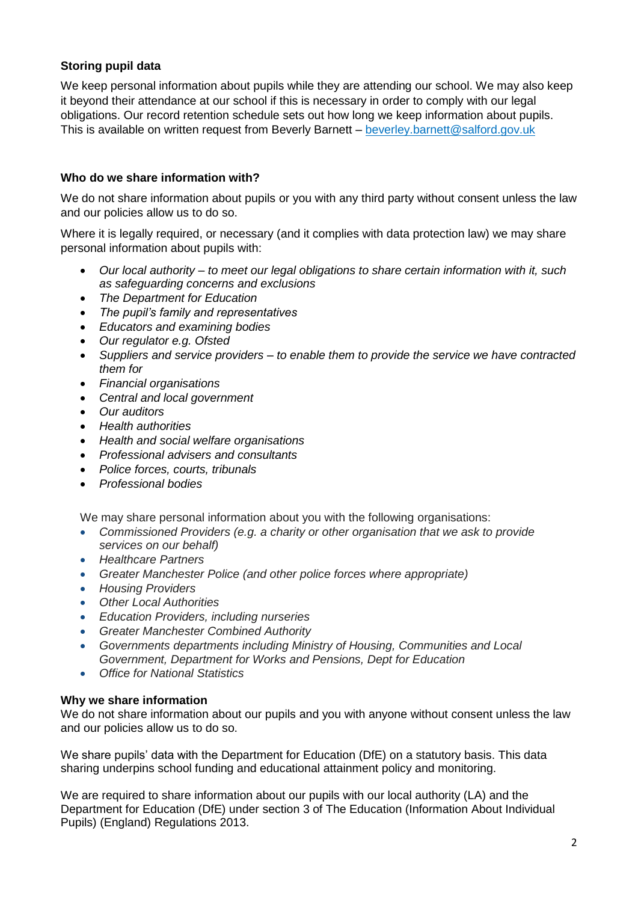## **Storing pupil data**

We keep personal information about pupils while they are attending our school. We may also keep it beyond their attendance at our school if this is necessary in order to comply with our legal obligations. Our record retention schedule sets out how long we keep information about pupils. This is available on written request from Beverly Barnett – beverley.barnett@salford.gov.uk

### **Who do we share information with?**

We do not share information about pupils or you with any third party without consent unless the law and our policies allow us to do so.

Where it is legally required, or necessary (and it complies with data protection law) we may share personal information about pupils with:

- *Our local authority – to meet our legal obligations to share certain information with it, such as safeguarding concerns and exclusions*
- *The Department for Education*
- *The pupil's family and representatives*
- *Educators and examining bodies*
- *Our regulator e.g. Ofsted*
- *Suppliers and service providers – to enable them to provide the service we have contracted them for*
- *Financial organisations*
- *Central and local government*
- *Our auditors*
- *Health authorities*
- *Health and social welfare organisations*
- *Professional advisers and consultants*
- *Police forces, courts, tribunals*
- *Professional bodies*

We may share personal information about you with the following organisations:

- *Commissioned Providers (e.g. a charity or other organisation that we ask to provide services on our behalf)*
- *Healthcare Partners*
- *Greater Manchester Police (and other police forces where appropriate)*
- *Housing Providers*
- *Other Local Authorities*
- *Education Providers, including nurseries*
- *Greater Manchester Combined Authority*
- *Governments departments including Ministry of Housing, Communities and Local Government, Department for Works and Pensions, Dept for Education*
- *Office for National Statistics*

#### **Why we share information**

We do not share information about our pupils and you with anyone without consent unless the law and our policies allow us to do so.

We share pupils' data with the Department for Education (DfE) on a statutory basis. This data sharing underpins school funding and educational attainment policy and monitoring.

We are required to share information about our pupils with our local authority (LA) and the Department for Education (DfE) under section 3 of The Education (Information About Individual Pupils) (England) Regulations 2013.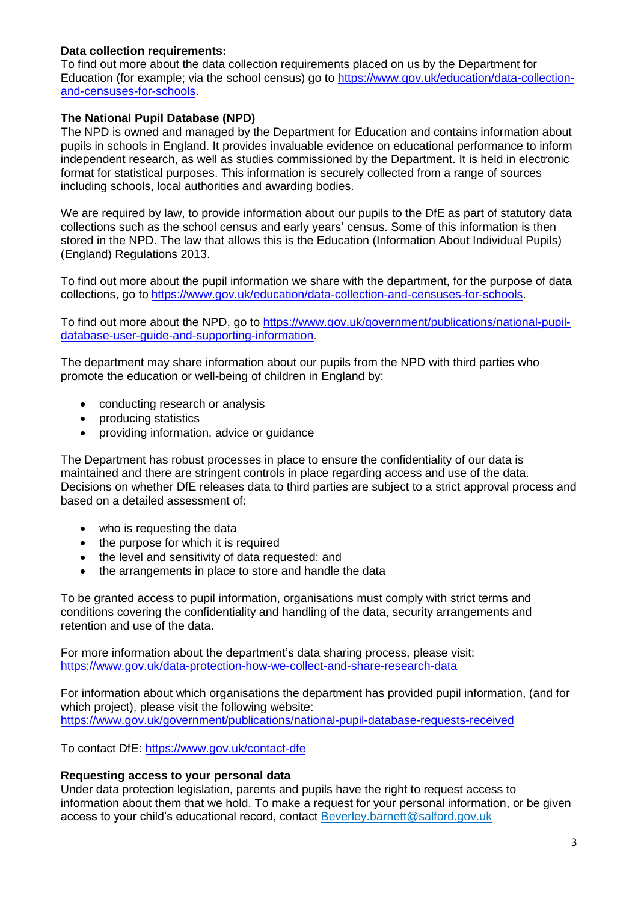### **Data collection requirements:**

To find out more about the data collection requirements placed on us by the Department for Education (for example; via the school census) go to [https://www.gov.uk/education/data-collection](https://www.gov.uk/education/data-collection-and-censuses-for-schools)[and-censuses-for-schools.](https://www.gov.uk/education/data-collection-and-censuses-for-schools)

### **The National Pupil Database (NPD)**

The NPD is owned and managed by the Department for Education and contains information about pupils in schools in England. It provides invaluable evidence on educational performance to inform independent research, as well as studies commissioned by the Department. It is held in electronic format for statistical purposes. This information is securely collected from a range of sources including schools, local authorities and awarding bodies.

We are required by law, to provide information about our pupils to the DfE as part of statutory data collections such as the school census and early years' census. Some of this information is then stored in the NPD. The law that allows this is the Education (Information About Individual Pupils) (England) Regulations 2013.

To find out more about the pupil information we share with the department, for the purpose of data collections, go to [https://www.gov.uk/education/data-collection-and-censuses-for-schools.](https://www.gov.uk/education/data-collection-and-censuses-for-schools)

To find out more about the NPD, go to [https://www.gov.uk/government/publications/national-pupil](https://www.gov.uk/government/publications/national-pupil-database-user-guide-and-supporting-information)[database-user-guide-and-supporting-information.](https://www.gov.uk/government/publications/national-pupil-database-user-guide-and-supporting-information)

The department may share information about our pupils from the NPD with third parties who promote the education or well-being of children in England by:

- conducting research or analysis
- producing statistics
- providing information, advice or guidance

The Department has robust processes in place to ensure the confidentiality of our data is maintained and there are stringent controls in place regarding access and use of the data. Decisions on whether DfE releases data to third parties are subject to a strict approval process and based on a detailed assessment of:

- who is requesting the data
- the purpose for which it is required
- the level and sensitivity of data requested: and
- the arrangements in place to store and handle the data

To be granted access to pupil information, organisations must comply with strict terms and conditions covering the confidentiality and handling of the data, security arrangements and retention and use of the data.

For more information about the department's data sharing process, please visit: <https://www.gov.uk/data-protection-how-we-collect-and-share-research-data>

For information about which organisations the department has provided pupil information, (and for which project), please visit the following website: <https://www.gov.uk/government/publications/national-pupil-database-requests-received>

To contact DfE:<https://www.gov.uk/contact-dfe>

#### **Requesting access to your personal data**

Under data protection legislation, parents and pupils have the right to request access to information about them that we hold. To make a request for your personal information, or be given access to your child's educational record, contact Beverley.barnett@salford.gov.uk